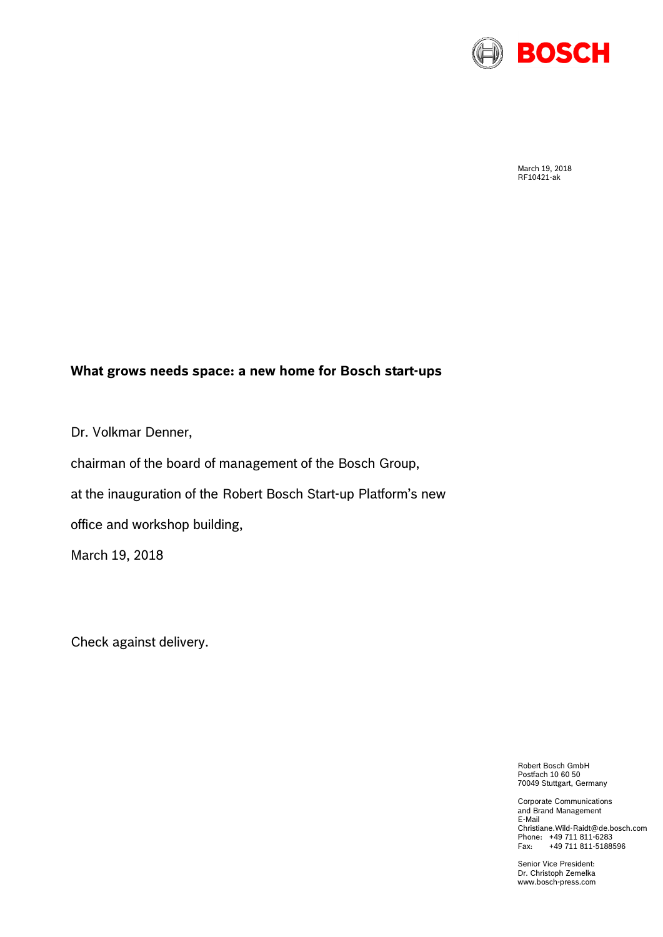

March 19, 2018 RF10421-ak

## **What grows needs space: a new home for Bosch start-ups**

Dr. Volkmar Denner,

chairman of the board of management of the Bosch Group,

at the inauguration of the Robert Bosch Start-up Platform's new

office and workshop building,

March 19, 2018

Check against delivery.

Robert Bosch GmbH Postfach 10 60 50 70049 Stuttgart, Germany

Corporate Communications and Brand Management E-Mail Christiane.Wild-Raidt@de.bosch.com Phone: +49 711 811-6283 Fax: +49 711 811-5188596

Senior Vice President: Dr. Christoph Zemelka www.bosch-press.com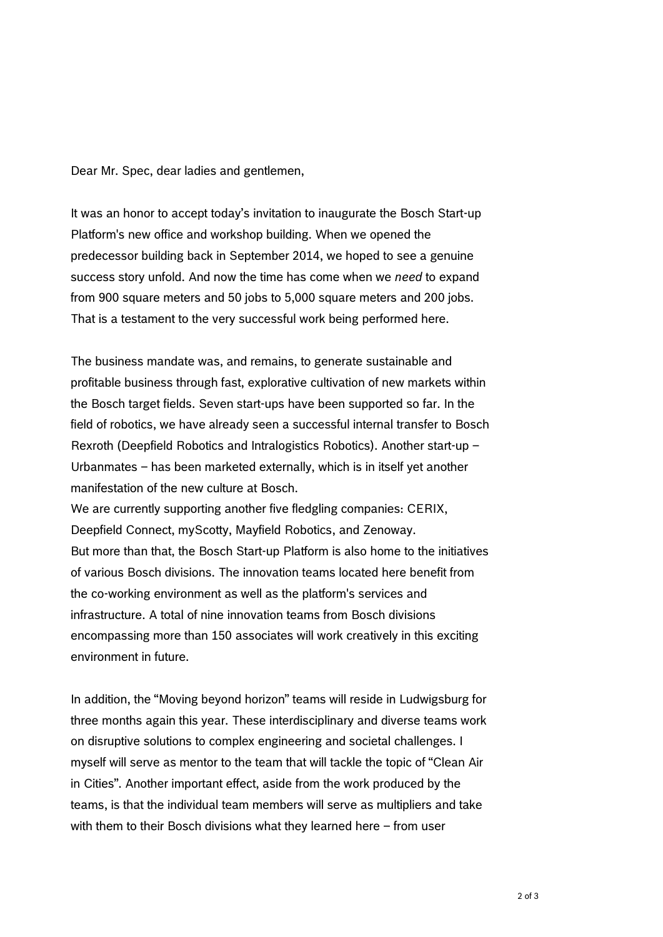Dear Mr. Spec, dear ladies and gentlemen,

It was an honor to accept today's invitation to inaugurate the Bosch Start-up Platform's new office and workshop building. When we opened the predecessor building back in September 2014, we hoped to see a genuine success story unfold. And now the time has come when we *need* to expand from 900 square meters and 50 jobs to 5,000 square meters and 200 jobs. That is a testament to the very successful work being performed here.

The business mandate was, and remains, to generate sustainable and profitable business through fast, explorative cultivation of new markets within the Bosch target fields. Seven start-ups have been supported so far. In the field of robotics, we have already seen a successful internal transfer to Bosch Rexroth (Deepfield Robotics and Intralogistics Robotics). Another start-up – Urbanmates – has been marketed externally, which is in itself yet another manifestation of the new culture at Bosch.

We are currently supporting another five fledgling companies: CERIX, Deepfield Connect, myScotty, Mayfield Robotics, and Zenoway. But more than that, the Bosch Start-up Platform is also home to the initiatives of various Bosch divisions. The innovation teams located here benefit from the co-working environment as well as the platform's services and infrastructure. A total of nine innovation teams from Bosch divisions encompassing more than 150 associates will work creatively in this exciting environment in future.

In addition, the "Moving beyond horizon" teams will reside in Ludwigsburg for three months again this year. These interdisciplinary and diverse teams work on disruptive solutions to complex engineering and societal challenges. I myself will serve as mentor to the team that will tackle the topic of "Clean Air in Cities". Another important effect, aside from the work produced by the teams, is that the individual team members will serve as multipliers and take with them to their Bosch divisions what they learned here – from user